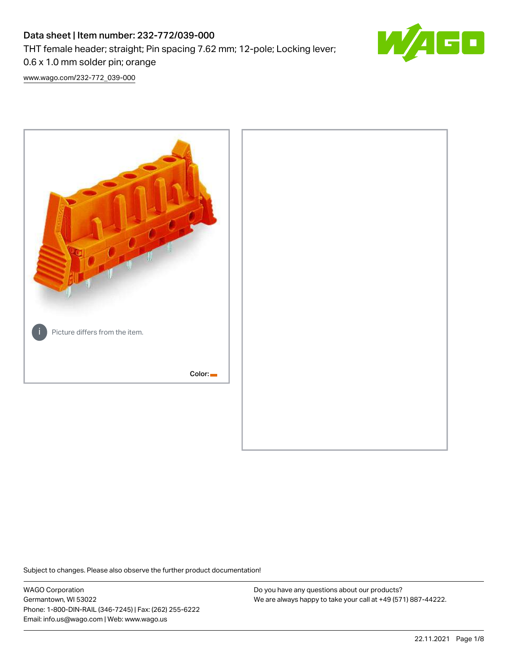# Data sheet | Item number: 232-772/039-000 THT female header; straight; Pin spacing 7.62 mm; 12-pole; Locking lever; 0.6 x 1.0 mm solder pin; orange



[www.wago.com/232-772\\_039-000](http://www.wago.com/232-772_039-000)



Subject to changes. Please also observe the further product documentation!

WAGO Corporation Germantown, WI 53022 Phone: 1-800-DIN-RAIL (346-7245) | Fax: (262) 255-6222 Email: info.us@wago.com | Web: www.wago.us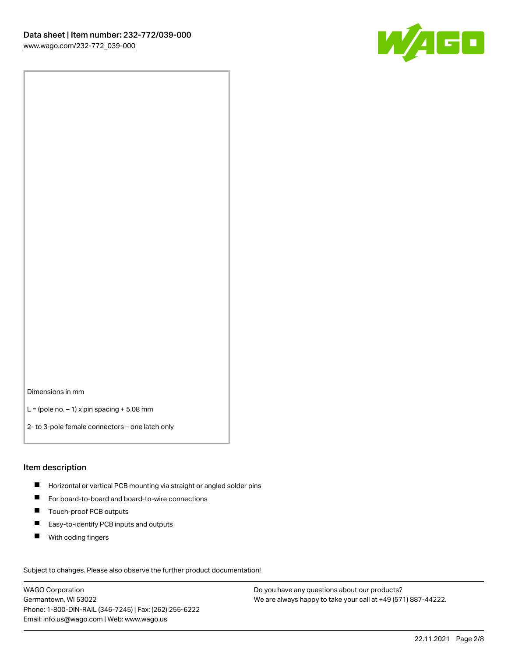

Dimensions in mm

 $L =$  (pole no.  $-1$ ) x pin spacing  $+5.08$  mm

2- to 3-pole female connectors – one latch only

#### Item description

- **H** Horizontal or vertical PCB mounting via straight or angled solder pins
- For board-to-board and board-to-wire connections
- Touch-proof PCB outputs  $\blacksquare$
- $\blacksquare$ Easy-to-identify PCB inputs and outputs
- $\blacksquare$ With coding fingers

Subject to changes. Please also observe the further product documentation! Data

WAGO Corporation Germantown, WI 53022 Phone: 1-800-DIN-RAIL (346-7245) | Fax: (262) 255-6222 Email: info.us@wago.com | Web: www.wago.us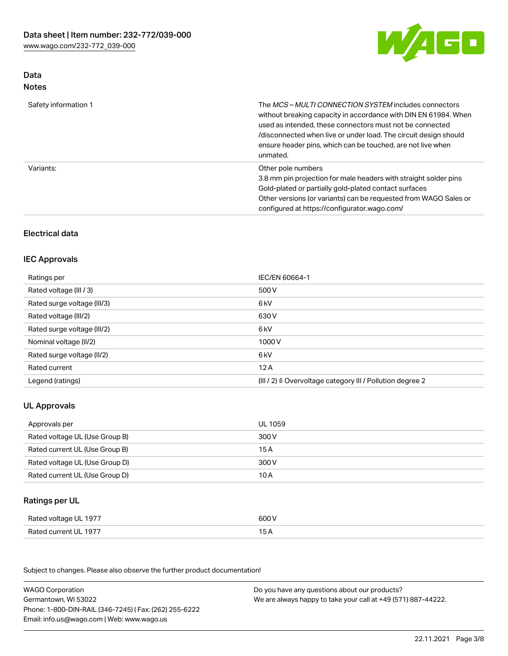

## Data Notes

| Safety information 1 | The <i>MCS – MULTI CONNECTION SYSTEM</i> includes connectors<br>without breaking capacity in accordance with DIN EN 61984. When<br>used as intended, these connectors must not be connected<br>/disconnected when live or under load. The circuit design should<br>ensure header pins, which can be touched, are not live when<br>unmated. |
|----------------------|--------------------------------------------------------------------------------------------------------------------------------------------------------------------------------------------------------------------------------------------------------------------------------------------------------------------------------------------|
| Variants:            | Other pole numbers<br>3.8 mm pin projection for male headers with straight solder pins<br>Gold-plated or partially gold-plated contact surfaces<br>Other versions (or variants) can be requested from WAGO Sales or<br>configured at https://configurator.wago.com/                                                                        |

## Electrical data

## IEC Approvals

| Ratings per                 | IEC/EN 60664-1                                                        |
|-----------------------------|-----------------------------------------------------------------------|
| Rated voltage (III / 3)     | 500 V                                                                 |
| Rated surge voltage (III/3) | 6 kV                                                                  |
| Rated voltage (III/2)       | 630 V                                                                 |
| Rated surge voltage (III/2) | 6 kV                                                                  |
| Nominal voltage (II/2)      | 1000 V                                                                |
| Rated surge voltage (II/2)  | 6 kV                                                                  |
| Rated current               | 12A                                                                   |
| Legend (ratings)            | $(III / 2)$ $\triangle$ Overvoltage category III / Pollution degree 2 |

## UL Approvals

| Approvals per                  | UL 1059 |
|--------------------------------|---------|
| Rated voltage UL (Use Group B) | 300 V   |
| Rated current UL (Use Group B) | 15 A    |
| Rated voltage UL (Use Group D) | 300 V   |
| Rated current UL (Use Group D) | 10 A    |

# Ratings per UL

| Rated voltage UL 1977 | 600 V |
|-----------------------|-------|
| Rated current UL 1977 |       |

Subject to changes. Please also observe the further product documentation!

| <b>WAGO Corporation</b>                                | Do you have any questions about our products?                 |
|--------------------------------------------------------|---------------------------------------------------------------|
| Germantown, WI 53022                                   | We are always happy to take your call at +49 (571) 887-44222. |
| Phone: 1-800-DIN-RAIL (346-7245)   Fax: (262) 255-6222 |                                                               |
| Email: info.us@wago.com   Web: www.wago.us             |                                                               |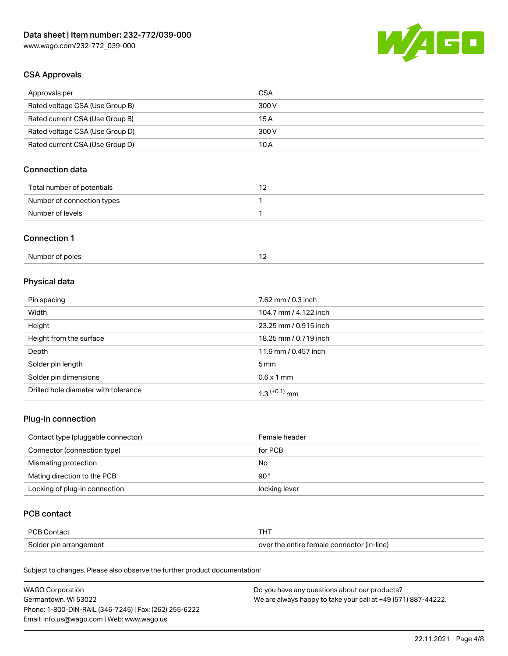

## CSA Approvals

| Approvals per                   | CSA   |
|---------------------------------|-------|
| Rated voltage CSA (Use Group B) | 300 V |
| Rated current CSA (Use Group B) | 15 A  |
| Rated voltage CSA (Use Group D) | 300 V |
| Rated current CSA (Use Group D) | 10 A  |

## Connection data

| Total number of potentials |  |
|----------------------------|--|
| Number of connection types |  |
| Number of levels           |  |

#### Connection 1

# Physical data

| Pin spacing                          | 7.62 mm / 0.3 inch    |
|--------------------------------------|-----------------------|
| Width                                | 104.7 mm / 4.122 inch |
| Height                               | 23.25 mm / 0.915 inch |
| Height from the surface              | 18.25 mm / 0.719 inch |
| Depth                                | 11.6 mm / 0.457 inch  |
| Solder pin length                    | 5 mm                  |
| Solder pin dimensions                | $0.6 \times 1$ mm     |
| Drilled hole diameter with tolerance | $1.3$ $(+0.1)$ mm     |

## Plug-in connection

| Contact type (pluggable connector) | Female header |
|------------------------------------|---------------|
| Connector (connection type)        | for PCB       |
| Mismating protection               | No            |
| Mating direction to the PCB        | $90^{\circ}$  |
| Locking of plug-in connection      | locking lever |

## PCB contact

| PCB Contact            |                                            |
|------------------------|--------------------------------------------|
| Solder pin arrangement | over the entire female connector (in-line) |

Subject to changes. Please also observe the further product documentation!

| <b>WAGO Corporation</b>                                | Do you have any questions about our products?                 |
|--------------------------------------------------------|---------------------------------------------------------------|
| Germantown, WI 53022                                   | We are always happy to take your call at +49 (571) 887-44222. |
| Phone: 1-800-DIN-RAIL (346-7245)   Fax: (262) 255-6222 |                                                               |
| Email: info.us@wago.com   Web: www.wago.us             |                                                               |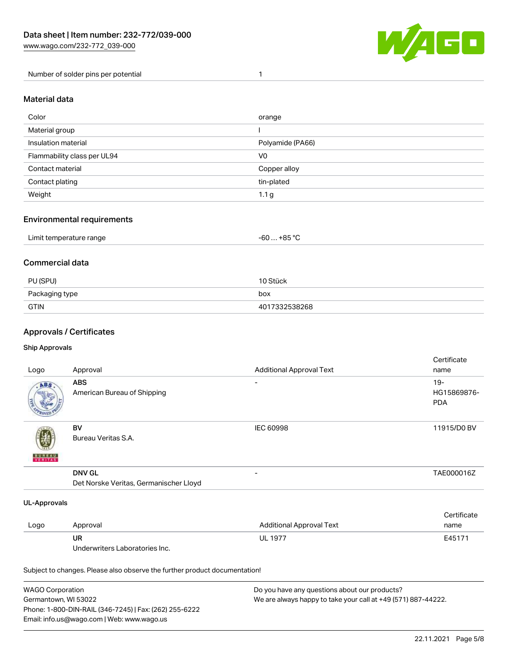

Number of solder pins per potential 1

### Material data

| orange           |
|------------------|
|                  |
| Polyamide (PA66) |
| V <sub>0</sub>   |
| Copper alloy     |
| tin-plated       |
| 1.1 <sub>g</sub> |
|                  |

## Environmental requirements

| Limit temperature range |
|-------------------------|
|-------------------------|

#### Commercial data

| PU (SPU)       | 10 Stück      |
|----------------|---------------|
| Packaging type | box           |
| <b>GTIN</b>    | 4017332538268 |

## Approvals / Certificates

#### Ship Approvals

| Logo                     | Approval                                                | <b>Additional Approval Text</b> | Certificate<br>name                 |
|--------------------------|---------------------------------------------------------|---------------------------------|-------------------------------------|
| ABS                      | ABS<br>American Bureau of Shipping                      | $\overline{\phantom{0}}$        | $19 -$<br>HG15869876-<br><b>PDA</b> |
| <b>BUREAU</b><br>VERITAS | BV<br>Bureau Veritas S.A.                               | IEC 60998                       | 11915/D0 BV                         |
|                          | <b>DNV GL</b><br>Det Norske Veritas, Germanischer Lloyd |                                 | TAE000016Z                          |
| <b>UL-Approvals</b>      |                                                         |                                 |                                     |
| Logo                     | Approval                                                | <b>Additional Approval Text</b> | Certificate<br>name                 |
|                          | <b>UR</b><br>Underwriters Laboratories Inc.             | <b>UL 1977</b>                  | E45171                              |

Subject to changes. Please also observe the further product documentation!

| WAGO Corporation                                       | Do you have any questions about our products?                 |
|--------------------------------------------------------|---------------------------------------------------------------|
| Germantown, WI 53022                                   | We are always happy to take your call at +49 (571) 887-44222. |
| Phone: 1-800-DIN-RAIL (346-7245)   Fax: (262) 255-6222 |                                                               |
| Email: info.us@wago.com   Web: www.wago.us             |                                                               |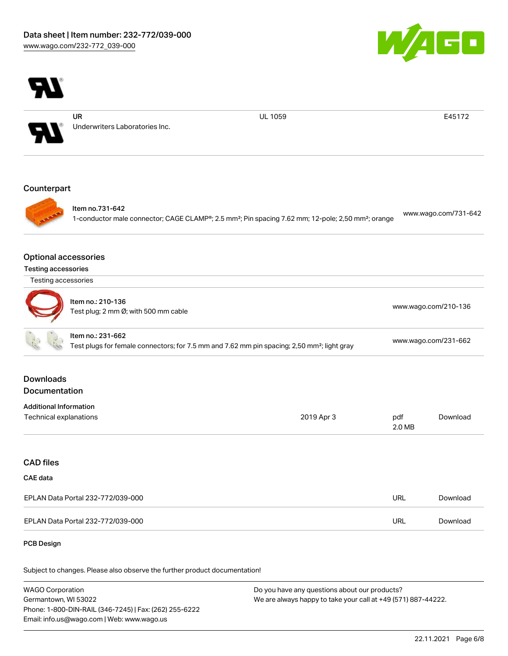

UR Underwriters Laboratories Inc. UL 1059 E45172

 $\boxed{\blacksquare}$ 

## **Counterpart**



Item no.731-642 1-conductor male connector; CAGE CLAMP®; 2.5 mm²; Pin spacing 7.62 mm; 12-pole; 2,50 mm²; orange [www.wago.com/731-642](https://www.wago.com/731-642)

#### Optional accessories

| <b>Testing accessories</b> |  |
|----------------------------|--|
|                            |  |

Testing accessories

| J) | ltem no.: 210-136                    | www.wago.com/210-136 |
|----|--------------------------------------|----------------------|
|    | Test plug; 2 mm Ø; with 500 mm cable |                      |
|    |                                      |                      |

|  | Item no.: 231-662                                                                                       |                      |
|--|---------------------------------------------------------------------------------------------------------|----------------------|
|  | Test plugs for female connectors; for 7.5 mm and 7.62 mm pin spacing; 2,50 mm <sup>2</sup> ; light gray | www.wago.com/231-662 |
|  |                                                                                                         |                      |

## Downloads Documentation

| <b>Additional Information</b> |            |        |          |
|-------------------------------|------------|--------|----------|
| Technical explanations        | 2019 Apr 3 | pdf    | Download |
|                               |            | 2.0 MB |          |

## CAD files

## CAE data

| EPLAN Data Portal 232-772/039-000 | URL | Download |
|-----------------------------------|-----|----------|
| EPLAN Data Portal 232-772/039-000 | URL | Download |

#### PCB Design

Subject to changes. Please also observe the further product documentation!

WAGO Corporation Germantown, WI 53022 Phone: 1-800-DIN-RAIL (346-7245) | Fax: (262) 255-6222 Email: info.us@wago.com | Web: www.wago.us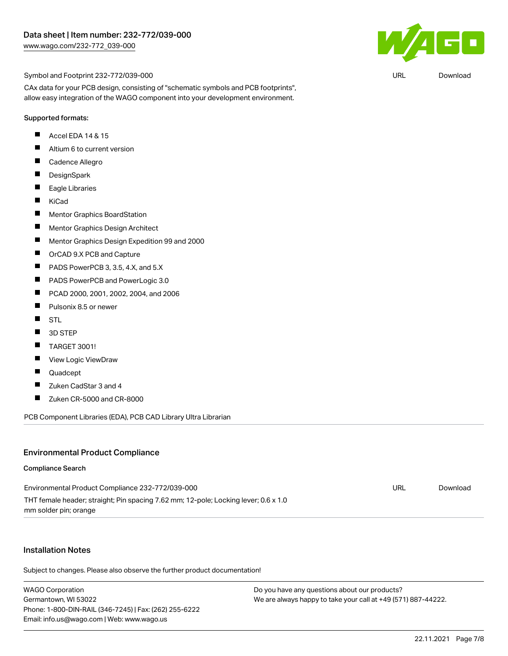

URL [Download](https://www.wago.com/global/d/UltraLibrarian_URLS_232-772_039-000)

Symbol and Footprint 232-772/039-000

CAx data for your PCB design, consisting of "schematic symbols and PCB footprints", allow easy integration of the WAGO component into your development environment.

#### Supported formats:

- П Accel EDA 14 & 15
- $\blacksquare$ Altium 6 to current version
- $\blacksquare$ Cadence Allegro
- $\blacksquare$ **DesignSpark**
- $\blacksquare$ Eagle Libraries
- $\blacksquare$ KiCad
- $\blacksquare$ Mentor Graphics BoardStation
- $\blacksquare$ Mentor Graphics Design Architect
- $\blacksquare$ Mentor Graphics Design Expedition 99 and 2000
- $\blacksquare$ OrCAD 9.X PCB and Capture
- П PADS PowerPCB 3, 3.5, 4.X, and 5.X
- $\blacksquare$ PADS PowerPCB and PowerLogic 3.0
- $\blacksquare$ PCAD 2000, 2001, 2002, 2004, and 2006
- $\blacksquare$ Pulsonix 8.5 or newer
- $\blacksquare$ STL
- $\blacksquare$ 3D STEP
- $\blacksquare$ TARGET 3001!
- $\blacksquare$ View Logic ViewDraw
- П Quadcept
- $\blacksquare$ Zuken CadStar 3 and 4
- $\blacksquare$ Zuken CR-5000 and CR-8000

PCB Component Libraries (EDA), PCB CAD Library Ultra Librarian

#### Environmental Product Compliance

#### Compliance Search

| Environmental Product Compliance 232-772/039-000                                    | URL | Download |
|-------------------------------------------------------------------------------------|-----|----------|
| THT female header; straight; Pin spacing 7.62 mm; 12-pole; Locking lever; 0.6 x 1.0 |     |          |
| mm solder pin; orange                                                               |     |          |

#### Installation Notes

Subject to changes. Please also observe the further product documentation!

WAGO Corporation Germantown, WI 53022 Phone: 1-800-DIN-RAIL (346-7245) | Fax: (262) 255-6222 Email: info.us@wago.com | Web: www.wago.us